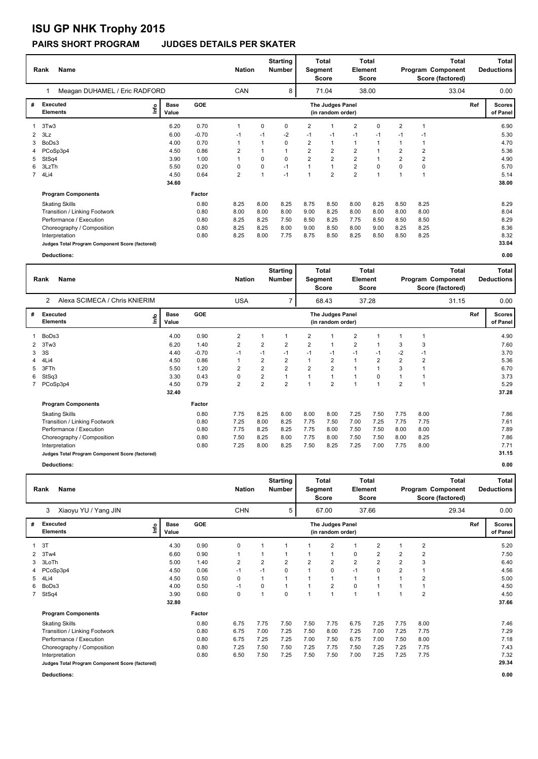# **ISU GP NHK Trophy 2015**

#### **PAIRS SHORT PROGRAM JUDGES DETAILS PER SKATER**

|             | Name<br>Rank                                    |                      |         |                         | <b>Nation</b> | <b>Starting</b><br>Number | Segment        | Total<br>Score                        | <b>Total</b><br><b>Element</b><br>Score |                | <b>Total</b><br>Program Component<br>Score (factored) |                |       | Total<br><b>Deductions</b> |                           |
|-------------|-------------------------------------------------|----------------------|---------|-------------------------|---------------|---------------------------|----------------|---------------------------------------|-----------------------------------------|----------------|-------------------------------------------------------|----------------|-------|----------------------------|---------------------------|
|             | Meagan DUHAMEL / Eric RADFORD                   |                      |         | CAN                     |               | 8                         |                | 71.04                                 |                                         | 38.00          |                                                       |                | 33.04 |                            | 0.00                      |
| #           | <b>Executed</b><br>١nf٥<br><b>Elements</b>      | <b>Base</b><br>Value | GOE     |                         |               |                           |                | The Judges Panel<br>(in random order) |                                         |                |                                                       |                |       | Ref                        | <b>Scores</b><br>of Panel |
|             | 3Tw3                                            | 6.20                 | 0.70    |                         | 0             | 0                         | $\overline{2}$ |                                       | $\overline{2}$                          | $\Omega$       | $\overline{2}$                                        | и              |       |                            | 6.90                      |
| 2           | 3Lz                                             | 6.00                 | $-0.70$ | $-1$                    | $-1$          | $-2$                      | $-1$           | $-1$                                  | $-1$                                    | $-1$           | $-1$                                                  | $-1$           |       |                            | 5.30                      |
| 3           | BoDs3                                           | 4.00                 | 0.70    |                         |               | $\mathbf 0$               | $\overline{2}$ | $\mathbf{1}$                          | $\mathbf{1}$                            | 1              |                                                       | 1              |       |                            | 4.70                      |
| 4           | PCoSp3p4                                        | 4.50                 | 0.86    | 2                       |               | $\mathbf{1}$              | $\overline{2}$ | $\overline{2}$                        | $\overline{2}$                          | $\mathbf{1}$   | 2                                                     | $\overline{2}$ |       |                            | 5.36                      |
| 5           | StSq4                                           | 3.90                 | 1.00    |                         | 0             | $\Omega$                  | $\overline{2}$ | $\overline{2}$                        | $\overline{2}$                          | 1              | $\overline{2}$                                        | 2              |       |                            | 4.90                      |
| 6           | 3LzTh                                           | 5.50                 | 0.20    | 0                       | 0             | $-1$                      |                | $\overline{1}$                        | $\overline{2}$                          | 0              | 0                                                     | 0              |       |                            | 5.70                      |
| $7^{\circ}$ | 4Li4                                            | 4.50                 | 0.64    | $\overline{\mathbf{c}}$ |               | $-1$                      |                | $\overline{2}$                        | $\overline{2}$                          | $\overline{1}$ |                                                       |                |       |                            | 5.14                      |
|             |                                                 | 34.60                |         |                         |               |                           |                |                                       |                                         |                |                                                       |                |       |                            | 38.00                     |
|             | <b>Program Components</b>                       |                      | Factor  |                         |               |                           |                |                                       |                                         |                |                                                       |                |       |                            |                           |
|             | <b>Skating Skills</b>                           |                      | 0.80    | 8.25                    | 8.00          | 8.25                      | 8.75           | 8.50                                  | 8.00                                    | 8.25           | 8.50                                                  | 8.25           |       |                            | 8.29                      |
|             | Transition / Linking Footwork                   |                      | 0.80    | 8.00                    | 8.00          | 8.00                      | 9.00           | 8.25                                  | 8.00                                    | 8.00           | 8.00                                                  | 8.00           |       |                            | 8.04                      |
|             | Performance / Execution                         |                      | 0.80    | 8.25                    | 8.25          | 7.50                      | 8.50           | 8.25                                  | 7.75                                    | 8.50           | 8.50                                                  | 8.50           |       |                            | 8.29                      |
|             | Choreography / Composition                      |                      | 0.80    | 8.25                    | 8.25          | 8.00                      | 9.00           | 8.50                                  | 8.00                                    | 9.00           | 8.25                                                  | 8.25           |       |                            | 8.36                      |
|             | Interpretation                                  |                      | 0.80    | 8.25                    | 8.00          | 7.75                      | 8.75           | 8.50                                  | 8.25                                    | 8.50           | 8.50                                                  | 8.25           |       |                            | 8.32                      |
|             | Judges Total Program Component Score (factored) |                      |         |                         |               |                           |                |                                       |                                         |                |                                                       |                |       |                            | 33.04                     |
|             | Deductions:                                     |                      |         |                         |               |                           |                |                                       |                                         |                |                                                       |                |       |                            | 0.00                      |

|   | <b>Name</b><br>Rank                             |                                                          |            |            | <b>Nation</b>           | <b>Starting</b><br>Number | Segment        | Total<br>Score                        | Element        | <b>Total</b><br>Score | Total<br>Program Component<br>Score (factored) |                |       |     | <b>Total</b><br><b>Deductions</b> |
|---|-------------------------------------------------|----------------------------------------------------------|------------|------------|-------------------------|---------------------------|----------------|---------------------------------------|----------------|-----------------------|------------------------------------------------|----------------|-------|-----|-----------------------------------|
|   | Alexa SCIMECA / Chris KNIERIM<br>$\overline{2}$ |                                                          |            | <b>USA</b> |                         | $\overline{7}$            |                | 68.43                                 |                | 37.28                 |                                                |                | 31.15 |     | 0.00                              |
| # | <b>Executed</b><br><b>Elements</b>              | <b>Base</b><br>$\mathop{\mathsf{Irr}}\nolimits$<br>Value | <b>GOE</b> |            |                         |                           |                | The Judges Panel<br>(in random order) |                |                       |                                                |                |       | Ref | <b>Scores</b><br>of Panel         |
|   | BoDs3                                           | 4.00                                                     | 0.90       | 2          | 1                       |                           | $\overline{2}$ |                                       | $\overline{2}$ |                       |                                                |                |       |     | 4.90                              |
| 2 | 3Tw3                                            | 6.20                                                     | 1.40       | 2          | 2                       | $\overline{2}$            | $\overline{2}$ | 1                                     | $\overline{2}$ |                       | 3                                              | 3              |       |     | 7.60                              |
| 3 | 3S                                              | 4.40                                                     | $-0.70$    | $-1$       | $-1$                    | $-1$                      | $-1$           | $-1$                                  | $-1$           | $-1$                  | $-2$                                           | $-1$           |       |     | 3.70                              |
|   | 4Li4                                            | 4.50                                                     | 0.86       |            | $\overline{2}$          | $\overline{2}$            |                | $\overline{2}$                        | $\mathbf{1}$   | $\overline{2}$        | $\overline{2}$                                 | $\overline{2}$ |       |     | 5.36                              |
| 5 | 3FTh                                            | 5.50                                                     | 1.20       | 2          | $\overline{2}$          | $\overline{2}$            | $\overline{2}$ | $\overline{2}$                        | 1              | 1                     | 3                                              |                |       |     | 6.70                              |
| 6 | StSq3                                           | 3.30                                                     | 0.43       | 0          | $\overline{\mathbf{c}}$ |                           |                | 1                                     |                | 0                     |                                                |                |       |     | 3.73                              |
|   | PCoSp3p4                                        | 4.50                                                     | 0.79       | 2          | $\overline{2}$          | $\overline{2}$            |                | $\overline{2}$                        |                |                       | $\overline{2}$                                 |                |       |     | 5.29                              |
|   |                                                 | 32.40                                                    |            |            |                         |                           |                |                                       |                |                       |                                                |                |       |     | 37.28                             |
|   | <b>Program Components</b>                       |                                                          | Factor     |            |                         |                           |                |                                       |                |                       |                                                |                |       |     |                                   |
|   | <b>Skating Skills</b>                           |                                                          | 0.80       | 7.75       | 8.25                    | 8.00                      | 8.00           | 8.00                                  | 7.25           | 7.50                  | 7.75                                           | 8.00           |       |     | 7.86                              |
|   | Transition / Linking Footwork                   |                                                          | 0.80       | 7.25       | 8.00                    | 8.25                      | 7.75           | 7.50                                  | 7.00           | 7.25                  | 7.75                                           | 7.75           |       |     | 7.61                              |
|   | Performance / Execution                         |                                                          | 0.80       | 7.75       | 8.25                    | 8.25                      | 7.75           | 8.00                                  | 7.50           | 7.50                  | 8.00                                           | 8.00           |       |     | 7.89                              |
|   | Choreography / Composition                      |                                                          | 0.80       | 7.50       | 8.25                    | 8.00                      | 7.75           | 8.00                                  | 7.50           | 7.50                  | 8.00                                           | 8.25           |       |     | 7.86                              |
|   | Interpretation                                  |                                                          | 0.80       | 7.25       | 8.00                    | 8.25                      | 7.50           | 8.25                                  | 7.25           | 7.00                  | 7.75                                           | 8.00           |       |     | 7.71                              |
|   | Judges Total Program Component Score (factored) |                                                          |            |            |                         |                           |                |                                       |                |                       |                                                |                |       |     | 31.15                             |
|   | Deductions:                                     |                                                          |            |            |                         |                           |                |                                       |                |                       |                                                |                |       |     | 0.00                              |

| <b>Name</b><br>Rank |                                                 |                      |            |                | <b>Nation</b>  | <b>Starting</b><br><b>Number</b> | Segment        | Total<br>Score                        | <b>Total</b><br>Element<br><b>Score</b> |                |                | Total<br>Program Component<br>Score (factored) |       |     | Total<br><b>Deductions</b> |
|---------------------|-------------------------------------------------|----------------------|------------|----------------|----------------|----------------------------------|----------------|---------------------------------------|-----------------------------------------|----------------|----------------|------------------------------------------------|-------|-----|----------------------------|
|                     | Xiaoyu YU / Yang JIN<br>3                       |                      |            | <b>CHN</b>     |                | 5                                |                | 67.00                                 |                                         | 37.66          |                |                                                | 29.34 |     | 0.00                       |
| #                   | <b>Executed</b><br>lnfo<br><b>Elements</b>      | <b>Base</b><br>Value | <b>GOE</b> |                |                |                                  |                | The Judges Panel<br>(in random order) |                                         |                |                |                                                |       | Ref | Scores  <br>of Panel       |
|                     | 3T                                              | 4.30                 | 0.90       | 0              |                |                                  |                | $\overline{2}$                        | 1                                       | 2              |                | $\overline{2}$                                 |       |     | 5.20                       |
| 2                   | 3Tw4                                            | 6.60                 | 0.90       | $\mathbf{1}$   |                |                                  |                | $\mathbf{1}$                          | 0                                       | 2              | $\overline{2}$ | 2                                              |       |     | 7.50                       |
| 3                   | 3LoTh                                           | 5.00                 | 1.40       | $\overline{2}$ | $\overline{2}$ | $\overline{2}$                   | $\overline{2}$ | $\overline{2}$                        | $\overline{2}$                          | $\overline{2}$ | $\overline{2}$ | 3                                              |       |     | 6.40                       |
| 4                   | PCoSp3p4                                        | 4.50                 | 0.06       | $-1$           | $-1$           | $\Omega$                         |                | 0                                     | $-1$                                    | 0              | $\overline{2}$ | 1                                              |       |     | 4.56                       |
| 5                   | 4Li4                                            | 4.50                 | 0.50       | 0              |                |                                  |                | $\mathbf{1}$                          | 1                                       |                |                | $\overline{2}$                                 |       |     | 5.00                       |
| 6                   | BoDs3                                           | 4.00                 | 0.50       | $-1$           | 0              |                                  |                | $\overline{2}$                        | 0                                       |                |                | 1                                              |       |     | 4.50                       |
|                     | 7 StSq4                                         | 3.90                 | 0.60       | 0              | 1              | 0                                |                | $\mathbf{1}$                          | 1                                       | $\overline{ }$ |                | $\overline{2}$                                 |       |     | 4.50                       |
|                     |                                                 | 32.80                |            |                |                |                                  |                |                                       |                                         |                |                |                                                |       |     | 37.66                      |
|                     | <b>Program Components</b>                       |                      | Factor     |                |                |                                  |                |                                       |                                         |                |                |                                                |       |     |                            |
|                     | <b>Skating Skills</b>                           |                      | 0.80       | 6.75           | 7.75           | 7.50                             | 7.50           | 7.75                                  | 6.75                                    | 7.25           | 7.75           | 8.00                                           |       |     | 7.46                       |
|                     | Transition / Linking Footwork                   |                      | 0.80       | 6.75           | 7.00           | 7.25                             | 7.50           | 8.00                                  | 7.25                                    | 7.00           | 7.25           | 7.75                                           |       |     | 7.29                       |
|                     | Performance / Execution                         |                      | 0.80       | 6.75           | 7.25           | 7.25                             | 7.00           | 7.50                                  | 6.75                                    | 7.00           | 7.50           | 8.00                                           |       |     | 7.18                       |
|                     | Choreography / Composition                      |                      | 0.80       | 7.25           | 7.50           | 7.50                             | 7.25           | 7.75                                  | 7.50                                    | 7.25           | 7.25           | 7.75                                           |       |     | 7.43                       |
|                     | Interpretation                                  |                      | 0.80       | 6.50           | 7.50           | 7.25                             | 7.50           | 7.50                                  | 7.00                                    | 7.25           | 7.25           | 7.75                                           |       |     | 7.32                       |
|                     | Judges Total Program Component Score (factored) |                      |            |                |                |                                  |                |                                       |                                         |                |                |                                                |       |     | 29.34                      |

**Deductions: 0.00**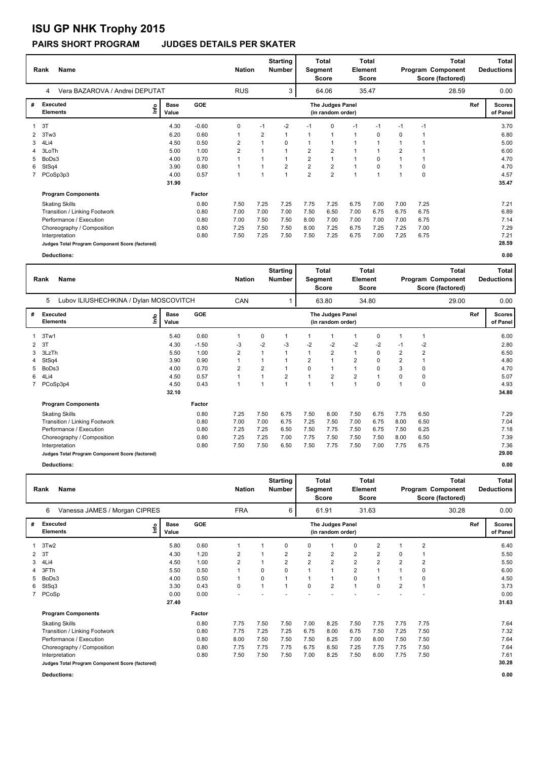# **ISU GP NHK Trophy 2015**

### **PAIRS SHORT PROGRAM JUDGES DETAILS PER SKATER**

| <b>Name</b><br>Rank |                                                 |                              |                 | <b>Nation</b>  |                | <b>Starting</b><br>Number |                | <b>Total</b><br>Segment<br><b>Score</b> |                | <b>Total</b><br>Element<br><b>Score</b> | <b>Total</b><br>Program Component<br>Score (factored) |      |       |     | Total<br><b>Deductions</b> |
|---------------------|-------------------------------------------------|------------------------------|-----------------|----------------|----------------|---------------------------|----------------|-----------------------------------------|----------------|-----------------------------------------|-------------------------------------------------------|------|-------|-----|----------------------------|
|                     | Vera BAZAROVA / Andrei DEPUTAT<br>4             |                              |                 | <b>RUS</b>     |                | 3                         |                | 64.06                                   |                | 35.47                                   |                                                       |      | 28.59 |     | 0.00                       |
| #                   | Executed<br><b>Elements</b>                     | <b>Base</b><br>١nf٥<br>Value | GOE             |                |                |                           |                | The Judges Panel<br>(in random order)   |                |                                         |                                                       |      |       | Ref | <b>Scores</b><br>of Panel  |
|                     | 3T                                              |                              | 4.30<br>$-0.60$ | 0              | $-1$           | $-2$                      | $-1$           | $\mathbf 0$                             | $-1$           | $-1$                                    | $-1$                                                  | $-1$ |       |     | 3.70                       |
| $\mathbf{2}$        | 3Tw3                                            |                              | 6.20<br>0.60    | 1              | $\overline{2}$ | $\mathbf{1}$              |                | $\overline{1}$                          | $\mathbf{1}$   | 0                                       | $\Omega$                                              | 1    |       |     | 6.80                       |
| 3                   | 4Li4                                            |                              | 0.50<br>4.50    | 2              | 1              | $\Omega$                  |                | $\overline{1}$                          | $\overline{1}$ | 1                                       |                                                       | 1    |       |     | 5.00                       |
| 4                   | 3LoTh                                           |                              | 5.00<br>1.00    | $\overline{2}$ |                | $\overline{1}$            | 2              | $\overline{2}$                          | $\overline{1}$ | 1                                       | $\overline{2}$                                        | 1    |       |     | 6.00                       |
| 5                   | BoDs3                                           |                              | 0.70<br>4.00    |                |                | $\mathbf{1}$              | $\overline{2}$ | $\overline{1}$                          | $\overline{1}$ | 0                                       |                                                       | 1    |       |     | 4.70                       |
| 6                   | StSq4                                           |                              | 3.90<br>0.80    |                |                | $\overline{2}$            | $\overline{2}$ | $\overline{2}$                          | $\mathbf{1}$   | 0                                       |                                                       | 0    |       |     | 4.70                       |
|                     | 7 PCoSp3p3                                      |                              | 4.00<br>0.57    |                |                | $\overline{1}$            | $\overline{2}$ | $\overline{2}$                          | $\overline{1}$ | 1                                       |                                                       | 0    |       |     | 4.57                       |
|                     |                                                 |                              | 31.90           |                |                |                           |                |                                         |                |                                         |                                                       |      |       |     | 35.47                      |
|                     | <b>Program Components</b>                       |                              | Factor          |                |                |                           |                |                                         |                |                                         |                                                       |      |       |     |                            |
|                     | <b>Skating Skills</b>                           |                              | 0.80            | 7.50           | 7.25           | 7.25                      | 7.75           | 7.25                                    | 6.75           | 7.00                                    | 7.00                                                  | 7.25 |       |     | 7.21                       |
|                     | Transition / Linking Footwork                   |                              | 0.80            | 7.00           | 7.00           | 7.00                      | 7.50           | 6.50                                    | 7.00           | 6.75                                    | 6.75                                                  | 6.75 |       |     | 6.89                       |
|                     | Performance / Execution                         |                              | 0.80            | 7.00           | 7.50           | 7.50                      | 8.00           | 7.00                                    | 7.00           | 7.00                                    | 7.00                                                  | 6.75 |       |     | 7.14                       |
|                     | Choreography / Composition                      |                              | 0.80            | 7.25           | 7.50           | 7.50                      | 8.00           | 7.25                                    | 6.75           | 7.25                                    | 7.25                                                  | 7.00 |       |     | 7.29                       |
|                     | Interpretation                                  |                              | 0.80            | 7.50           | 7.25           | 7.50                      | 7.50           | 7.25                                    | 6.75           | 7.00                                    | 7.25                                                  | 6.75 |       |     | 7.21                       |
|                     | Judges Total Program Component Score (factored) |                              |                 |                |                |                           |                |                                         |                |                                         |                                                       |      |       |     | 28.59                      |
|                     | Deductions:                                     |                              |                 |                |                |                           |                |                                         |                |                                         |                                                       |      |       |     | 0.00                       |

|              | Name<br>Rank                                    |      |                      | <b>Nation</b> |                |                | <b>Starting</b><br>Number | Total<br>Segment<br><b>Score</b> |                                       | Element        | <b>Total</b><br>Score | <b>Total</b><br>Program Component<br>Score (factored) |                |       | <b>Total</b><br><b>Deductions</b> |                           |
|--------------|-------------------------------------------------|------|----------------------|---------------|----------------|----------------|---------------------------|----------------------------------|---------------------------------------|----------------|-----------------------|-------------------------------------------------------|----------------|-------|-----------------------------------|---------------------------|
|              | Lubov ILIUSHECHKINA / Dylan MOSCOVITCH<br>5     |      |                      |               | CAN            |                |                           |                                  | 63.80                                 |                | 34.80                 |                                                       |                | 29.00 |                                   | 0.00                      |
| #            | Executed<br><b>Elements</b>                     | lnfo | <b>Base</b><br>Value | <b>GOE</b>    |                |                |                           |                                  | The Judges Panel<br>(in random order) |                |                       |                                                       |                |       | Ref                               | <b>Scores</b><br>of Panel |
|              | 1 3Tw1                                          |      | 5.40                 | 0.60          | 1              | 0              | -1                        |                                  | 1                                     | 1              | 0                     | 1                                                     |                |       |                                   | 6.00                      |
| $\mathbf{2}$ | 3T                                              |      | 4.30                 | $-1.50$       | $-3$           | $-2$           | -3                        | $-2$                             | $-2$                                  | $-2$           | $-2$                  | $-1$                                                  | $-2$           |       |                                   | 2.80                      |
| 3            | 3LzTh                                           |      | 5.50                 | 1.00          | 2              | $\mathbf{1}$   | -1                        |                                  | $\overline{2}$                        | 1              | 0                     | $\overline{2}$                                        | $\overline{2}$ |       |                                   | 6.50                      |
| 4            | StSq4                                           |      | 3.90                 | 0.90          | 1              |                |                           | 2                                | $\overline{1}$                        | $\overline{2}$ | 0                     | 2                                                     |                |       |                                   | 4.80                      |
| 5            | BoDs3                                           |      | 4.00                 | 0.70          | $\overline{2}$ | $\overline{2}$ |                           | $\mathbf 0$                      | 1                                     |                | 0                     | 3                                                     | $\Omega$       |       |                                   | 4.70                      |
| 6            | 4Li4                                            |      | 4.50                 | 0.57          | 1              |                | 2                         |                                  | $\overline{2}$                        | 2              |                       | 0                                                     | 0              |       |                                   | 5.07                      |
|              | PCoSp3p4                                        |      | 4.50                 | 0.43          | $\overline{1}$ | $\overline{1}$ | $\overline{1}$            |                                  | 1                                     | 1              | $\Omega$              | 1                                                     | $\Omega$       |       |                                   | 4.93                      |
|              |                                                 |      | 32.10                |               |                |                |                           |                                  |                                       |                |                       |                                                       |                |       |                                   | 34.80                     |
|              | <b>Program Components</b>                       |      |                      | Factor        |                |                |                           |                                  |                                       |                |                       |                                                       |                |       |                                   |                           |
|              | <b>Skating Skills</b>                           |      |                      | 0.80          | 7.25           | 7.50           | 6.75                      | 7.50                             | 8.00                                  | 7.50           | 6.75                  | 7.75                                                  | 6.50           |       |                                   | 7.29                      |
|              | Transition / Linking Footwork                   |      |                      | 0.80          | 7.00           | 7.00           | 6.75                      | 7.25                             | 7.50                                  | 7.00           | 6.75                  | 8.00                                                  | 6.50           |       |                                   | 7.04                      |
|              | Performance / Execution                         |      |                      | 0.80          | 7.25           | 7.25           | 6.50                      | 7.50                             | 7.75                                  | 7.50           | 6.75                  | 7.50                                                  | 6.25           |       |                                   | 7.18                      |
|              | Choreography / Composition                      |      |                      | 0.80          | 7.25           | 7.25           | 7.00                      | 7.75                             | 7.50                                  | 7.50           | 7.50                  | 8.00                                                  | 6.50           |       |                                   | 7.39                      |
|              | Interpretation                                  |      |                      | 0.80          | 7.50           | 7.50           | 6.50                      | 7.50                             | 7.75                                  | 7.50           | 7.00                  | 7.75                                                  | 6.75           |       |                                   | 7.36                      |
|              | Judges Total Program Component Score (factored) |      |                      |               |                |                |                           |                                  |                                       |                |                       |                                                       |                |       |                                   | 29.00                     |
|              | Deductions:                                     |      |                      |               |                |                |                           |                                  |                                       |                |                       |                                                       |                |       |                                   | 0.00                      |

|   | Name<br>Rank                                    | <b>Nation</b>        |            | <b>Starting</b><br>Number | Segment | Total<br><b>Score</b> | <b>Total</b><br>Element<br><b>Score</b> |                                       | Total<br>Program Component<br>Score (factored) |                |                | <b>Total</b><br><b>Deductions</b> |       |     |                           |
|---|-------------------------------------------------|----------------------|------------|---------------------------|---------|-----------------------|-----------------------------------------|---------------------------------------|------------------------------------------------|----------------|----------------|-----------------------------------|-------|-----|---------------------------|
|   | Vanessa JAMES / Morgan CIPRES<br>6              |                      |            |                           |         | 6                     |                                         | 61.91                                 |                                                | 31.63          |                |                                   | 30.28 |     | 0.00                      |
| # | Executed<br>lnfo<br><b>Elements</b>             | <b>Base</b><br>Value | <b>GOE</b> |                           |         |                       |                                         | The Judges Panel<br>(in random order) |                                                |                |                |                                   |       | Ref | <b>Scores</b><br>of Panel |
|   | 3Tw2                                            | 5.80                 | 0.60       |                           |         | 0                     | 0                                       | 1                                     | 0                                              | 2              |                | $\overline{2}$                    |       |     | 6.40                      |
| 2 | 3T                                              | 4.30                 | 1.20       | $\overline{2}$            |         | 2                     | $\overline{2}$                          | $\overline{\mathbf{c}}$               | $\overline{\mathbf{c}}$                        | 2              | 0              |                                   |       |     | 5.50                      |
| 3 | 4Li4                                            | 4.50                 | 1.00       | $\overline{2}$            |         | $\overline{2}$        | $\overline{2}$                          | $\overline{\mathbf{c}}$               | $\overline{2}$                                 | $\overline{2}$ | $\overline{2}$ | 2                                 |       |     | 5.50                      |
| Δ | 3FTh                                            | 5.50                 | 0.50       |                           | 0       | 0                     |                                         | 1                                     | $\overline{2}$                                 |                |                | 0                                 |       |     | 6.00                      |
| 5 | BoDs3                                           | 4.00                 | 0.50       |                           | 0       |                       |                                         | 1                                     | $\mathbf 0$                                    |                |                | 0                                 |       |     | 4.50                      |
| 6 | StSq3                                           | 3.30                 | 0.43       | $\mathbf 0$               |         |                       | 0                                       | $\overline{2}$                        | 1                                              | 0              | $\overline{2}$ |                                   |       |     | 3.73                      |
|   | 7 PCoSp                                         | 0.00                 | 0.00       |                           |         |                       |                                         |                                       |                                                |                |                |                                   |       |     | 0.00                      |
|   |                                                 | 27.40                |            |                           |         |                       |                                         |                                       |                                                |                |                |                                   |       |     | 31.63                     |
|   | <b>Program Components</b>                       |                      | Factor     |                           |         |                       |                                         |                                       |                                                |                |                |                                   |       |     |                           |
|   | <b>Skating Skills</b>                           |                      | 0.80       | 7.75                      | 7.50    | 7.50                  | 7.00                                    | 8.25                                  | 7.50                                           | 7.75           | 7.75           | 7.75                              |       |     | 7.64                      |
|   | Transition / Linking Footwork                   |                      | 0.80       | 7.75                      | 7.25    | 7.25                  | 6.75                                    | 8.00                                  | 6.75                                           | 7.50           | 7.25           | 7.50                              |       |     | 7.32                      |
|   | Performance / Execution                         |                      | 0.80       | 8.00                      | 7.50    | 7.50                  | 7.50                                    | 8.25                                  | 7.00                                           | 8.00           | 7.50           | 7.50                              |       |     | 7.64                      |
|   | Choreography / Composition                      |                      | 0.80       | 7.75                      | 7.75    | 7.75                  | 6.75                                    | 8.50                                  | 7.25                                           | 7.75           | 7.75           | 7.50                              |       |     | 7.64                      |
|   | Interpretation                                  |                      | 0.80       | 7.50                      | 7.50    | 7.50                  | 7.00                                    | 8.25                                  | 7.50                                           | 8.00           | 7.75           | 7.50                              |       |     | 7.61                      |
|   | Judges Total Program Component Score (factored) |                      |            |                           |         |                       |                                         |                                       |                                                |                |                |                                   |       |     | 30.28                     |

**Deductions: 0.00**